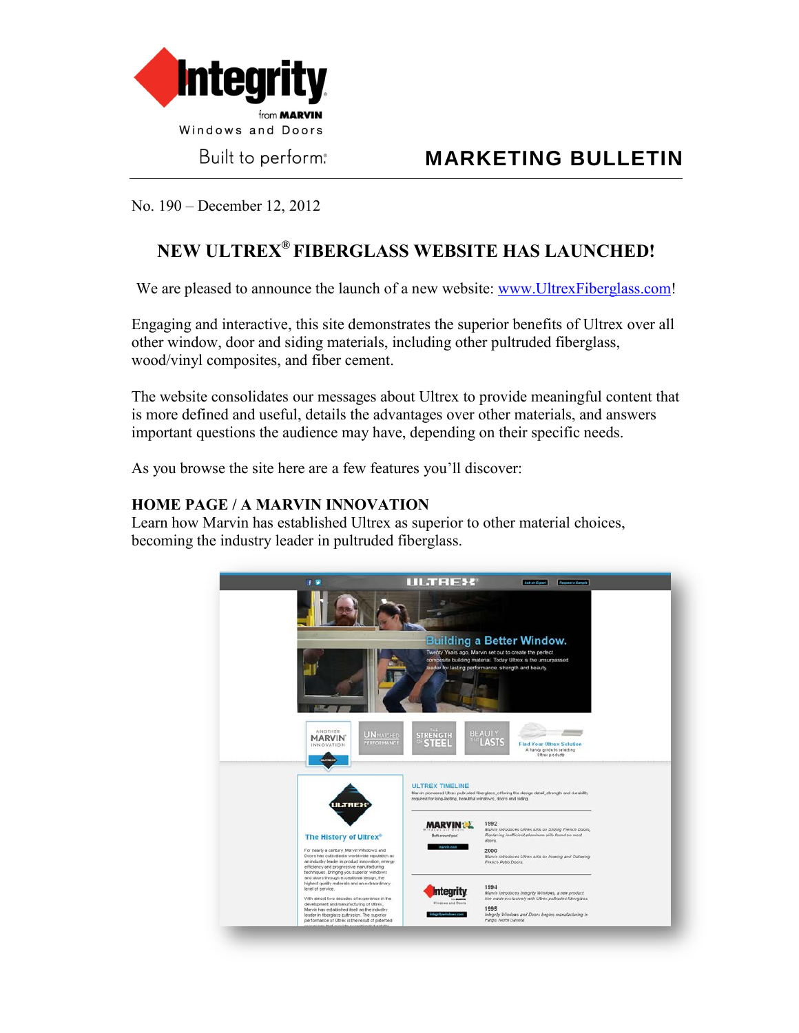

Built to perform.

# **MARKETING BULLETIN**

No. 190 – December 12, 2012

## **NEW ULTREX® FIBERGLASS WEBSITE HAS LAUNCHED!**

We are pleased to announce the launch of a new website: [www.UltrexFiberglass.com!](http://www.ultrexfiberglass.com/)

Engaging and interactive, this site demonstrates the superior benefits of Ultrex over all other window, door and siding materials, including other pultruded fiberglass, wood/vinyl composites, and fiber cement.

The website consolidates our messages about Ultrex to provide meaningful content that is more defined and useful, details the advantages over other materials, and answers important questions the audience may have, depending on their specific needs.

As you browse the site here are a few features you'll discover:

#### **HOME PAGE / A MARVIN INNOVATION**

Learn how Marvin has established Ultrex as superior to other material choices, becoming the industry leader in pultruded fiberglass.